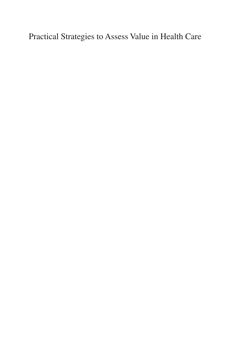Practical Strategies to Assess Value in Health Care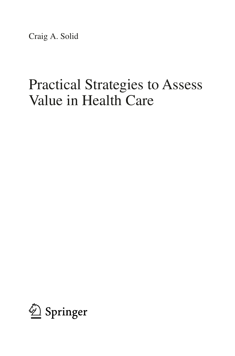Craig A. Solid

# Practical Strategies to Assess Value in Health Care

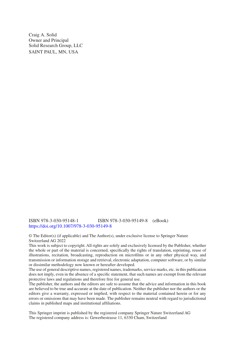Craig A. Solid Owner and Principal Solid Research Group, LLC SAINT PAUL, MN, USA

#### ISBN 978-3-030-95148-1 ISBN 978-3-030-95149-8 (eBook) <https://doi.org/10.1007/978-3-030-95149-8>

© The Editor(s) (if applicable) and The Author(s), under exclusive license to Springer Nature Switzerland AG 2022

This work is subject to copyright. All rights are solely and exclusively licensed by the Publisher, whether the whole or part of the material is concerned, specifcally the rights of translation, reprinting, reuse of illustrations, recitation, broadcasting, reproduction on microflms or in any other physical way, and transmission or information storage and retrieval, electronic adaptation, computer software, or by similar or dissimilar methodology now known or hereafter developed.

The use of general descriptive names, registered names, trademarks, service marks, etc. in this publication does not imply, even in the absence of a specific statement, that such names are exempt from the relevant protective laws and regulations and therefore free for general use.

The publisher, the authors and the editors are safe to assume that the advice and information in this book are believed to be true and accurate at the date of publication. Neither the publisher nor the authors or the editors give a warranty, expressed or implied, with respect to the material contained herein or for any errors or omissions that may have been made. The publisher remains neutral with regard to jurisdictional claims in published maps and institutional affliations.

This Springer imprint is published by the registered company Springer Nature Switzerland AG The registered company address is: Gewerbestrasse 11, 6330 Cham, Switzerland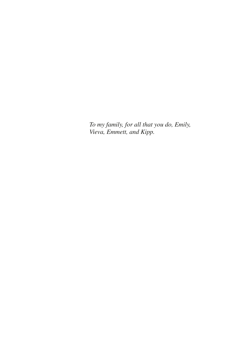*To my family, for all that you do, Emily, Vieva, Emmett, and Kipp.*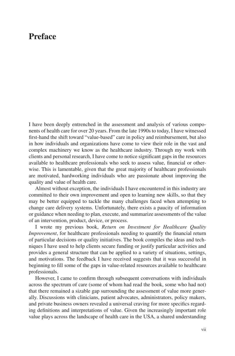### **Preface**

I have been deeply entrenched in the assessment and analysis of various components of health care for over 20 years. From the late 1990s to today, I have witnessed frst-hand the shift toward "value-based" care in policy and reimbursement, but also in how individuals and organizations have come to view their role in the vast and complex machinery we know as the healthcare industry. Through my work with clients and personal research, I have come to notice signifcant gaps in the resources available to healthcare professionals who seek to assess value, fnancial or otherwise. This is lamentable, given that the great majority of healthcare professionals are motivated, hardworking individuals who are passionate about improving the quality and value of health care.

Almost without exception, the individuals I have encountered in this industry are committed to their own improvement and open to learning new skills, so that they may be better equipped to tackle the many challenges faced when attempting to change care delivery systems. Unfortunately, there exists a paucity of information or guidance when needing to plan, execute, and summarize assessments of the value of an intervention, product, device, or process.

I wrote my previous book, *Return on Investment for Healthcare Quality Improvement*, for healthcare professionals needing to quantify the financial return of particular decisions or quality initiatives. The book compiles the ideas and techniques I have used to help clients secure funding or justify particular activities and provides a general structure that can be applied to a variety of situations, settings, and motivations. The feedback I have received suggests that it was successful in beginning to fll some of the gaps in value-related resources available to healthcare professionals.

However, I came to confrm through subsequent conversations with individuals across the spectrum of care (some of whom had read the book, some who had not) that there remained a sizable gap surrounding the assessment of value more generally. Discussions with clinicians, patient advocates, administrators, policy makers, and private business owners revealed a universal craving for more specifcs regarding defnitions and interpretations of value. Given the increasingly important role value plays across the landscape of health care in the USA, a shared understanding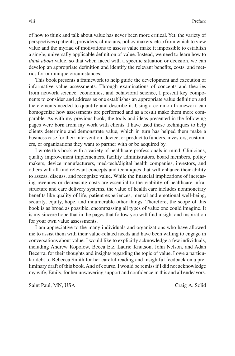of how to think and talk about value has never been more critical. Yet, the variety of perspectives (patients, providers, clinicians, policy makers, etc.) from which to view value and the myriad of motivations to assess value make it impossible to establish a single, universally applicable defnition of value. Instead, we need to learn how to *think about* value, so that when faced with a specifc situation or decision, we can develop an appropriate defnition and identify the relevant benefts, costs, and metrics for our unique circumstances.

This book presents a framework to help guide the development and execution of informative value assessments. Through examinations of concepts and theories from network science, economics, and behavioral science, I present key components to consider and address as one establishes an appropriate value defnition and the elements needed to quantify and describe it. Using a common framework can homogenize how assessments are performed and as a result make them more comparable. As with my previous book, the tools and ideas presented in the following pages were born from my work with clients. I have used these techniques to help clients determine and demonstrate value, which in turn has helped them make a business case for their intervention, device, or product to funders, investors, customers, or organizations they want to partner with or be acquired by.

I wrote this book with a variety of healthcare professionals in mind. Clinicians, quality improvement implementers, facility administrators, board members, policy makers, device manufacturers, med-tech/digital health companies, investors, and others will all fnd relevant concepts and techniques that will enhance their ability to assess, discuss, and recognize value. While the fnancial implications of increasing revenues or decreasing costs are essential to the viability of healthcare infrastructure and care delivery systems, the value of health care includes nonmonetary benefts like quality of life, patient experiences, mental and emotional well-being, security, equity, hope, and innumerable other things. Therefore, the scope of this book is as broad as possible, encompassing all types of value one could imagine. It is my sincere hope that in the pages that follow you will fnd insight and inspiration for your own value assessments.

I am appreciative to the many individuals and organizations who have allowed me to assist them with their value-related needs and have been willing to engage in conversations about value. I would like to explicitly acknowledge a few individuals, including Andrew Kopolow, Becca Etz, Laurie Knutson, John Nelson, and Adan Becerra, for their thoughts and insights regarding the topic of value. I owe a particular debt to Rebecca Smith for her careful reading and insightful feedback on a preliminary draft of this book. And of course, I would be remiss if I did not acknowledge my wife, Emily, for her unwavering support and confdence in this and all endeavors.

Saint Paul, MN, USA Craig A. Solid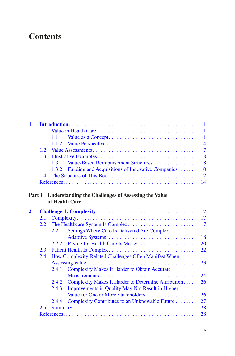## **Contents**

| $\mathbf{1}$   |      |                                                               | $\mathbf{1}$   |
|----------------|------|---------------------------------------------------------------|----------------|
|                | 1.1  |                                                               | $\mathbf{1}$   |
|                |      | 1.1.1                                                         | $\mathbf{1}$   |
|                |      | 1.1.2                                                         | $\overline{4}$ |
|                | 1.2. |                                                               | $\overline{7}$ |
|                | 1.3  |                                                               | 8              |
|                |      | Value-Based Reimbursement Structures<br>1.3.1                 | 8              |
|                |      | Funding and Acquisitions of Innovative Companies<br>1.3.2     | 10             |
|                | 1.4  |                                                               | 12             |
|                |      |                                                               | 14             |
|                |      |                                                               |                |
| Part I         |      | <b>Understanding the Challenges of Assessing the Value</b>    |                |
|                |      | of Health Care                                                |                |
| $\overline{2}$ |      |                                                               | 17             |
|                | 2.1  |                                                               | 17             |
|                | 2.2  |                                                               | 17             |
|                |      | <b>Settings Where Care Is Delivered Are Complex</b><br>2.2.1  |                |
|                |      |                                                               | 18             |
|                |      | Paying for Health Care Is Messy<br>2.2.2                      | 20             |
|                | 2.3  |                                                               | 22             |
|                | 2.4  | How Complexity-Related Challenges Often Manifest When         |                |
|                |      |                                                               | 23             |
|                |      | <b>Complexity Makes It Harder to Obtain Accurate</b><br>2.4.1 |                |
|                |      |                                                               | 24             |
|                |      | Complexity Makes It Harder to Determine Attribution<br>2.4.2  | 26             |
|                |      | Improvements in Quality May Not Result in Higher<br>2.4.3     |                |
|                |      |                                                               | 26             |
|                |      | Complexity Contributes to an Unknowable Future<br>2.4.4       | 27             |
|                | 2.5  |                                                               | 28             |
|                |      |                                                               | 28             |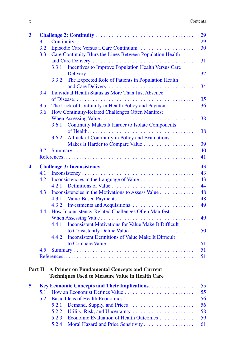|   |         |                                                                      | <u>~</u> |
|---|---------|----------------------------------------------------------------------|----------|
|   | 3.1     |                                                                      | 29       |
|   | 3.2     |                                                                      | 30       |
|   | 3.3     | Care Continuity Blurs the Lines Between Population Health            |          |
|   |         |                                                                      | 31       |
|   |         | Incentives to Improve Population Health Versus Care<br>3.3.1         |          |
|   |         |                                                                      | 32       |
|   |         | The Expected Role of Patients in Population Health<br>3.3.2          |          |
|   |         |                                                                      | 34       |
|   | 3.4     | <b>Individual Health Status as More Than Just Absence</b>            |          |
|   |         |                                                                      | 35       |
|   | 3.5     | The Lack of Continuity in Health Policy and Payment                  | 36       |
|   | 3.6     | How Continuity-Related Challenges Often Manifest                     |          |
|   |         |                                                                      | 38       |
|   |         | <b>Continuity Makes It Harder to Isolate Components</b><br>3.6.1     |          |
|   |         |                                                                      | 38       |
|   |         | A Lack of Continuity in Policy and Evaluations<br>3.6.2              |          |
|   |         | Makes It Harder to Compare Value                                     | 39       |
|   | 3.7     |                                                                      | 40       |
|   |         |                                                                      | 41       |
|   |         |                                                                      |          |
| 4 |         |                                                                      | 43       |
|   | 4.1     |                                                                      | 43       |
|   | 4.2     |                                                                      | 43       |
|   |         |                                                                      | 44       |
|   | 4.3     | Inconsistencies in the Motivations to Assess Value                   | 48       |
|   |         | Value-Based Payments<br>4.3.1                                        | 48       |
|   |         | 4.3.2                                                                | 49       |
|   | 4.4     | How Inconsistency-Related Challenges Often Manifest                  |          |
|   |         |                                                                      | 49       |
|   |         | 4.4.1<br><b>Inconsistent Motivations for Value Make It Difficult</b> |          |
|   |         | to Consistently Define Value                                         | 50       |
|   |         | <b>Inconsistent Definitions of Value Make It Difficult</b><br>4.4.2  |          |
|   |         | to Compare Value                                                     | 51       |
|   | 4.5     |                                                                      | 51       |
|   |         |                                                                      | 51       |
|   |         |                                                                      |          |
|   | Part II | A Primer on Fundamental Concepts and Current                         |          |
|   |         | Techniques Used to Measure Value in Health Care                      |          |
| 5 |         | Key Economic Concepts and Their Implications                         | 55       |
|   | 5.1     |                                                                      | 55       |
|   | 5.2     |                                                                      | 56       |
|   |         | 5.2.1<br>Demand, Supply, and Prices                                  | 56       |
|   |         | 5.2.2<br>Utility, Risk, and Uncertainty                              | 58       |
|   |         | Economic Evaluation of Health Outcomes<br>5.2.3                      | 59       |
|   |         | Moral Hazard and Price Sensitivity<br>5.2.4                          | 61       |
|   |         |                                                                      |          |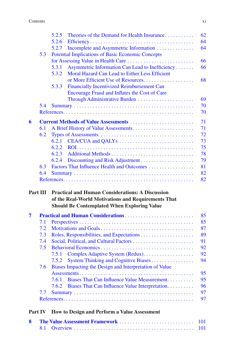#### Contents

|          |     | 5.2.5<br>Theories of the Demand for Health Insurance                                                                      | 62  |
|----------|-----|---------------------------------------------------------------------------------------------------------------------------|-----|
|          |     | 5.2.6                                                                                                                     | 64  |
|          |     | Incomplete and Asymmetric Information<br>5.2.7                                                                            | 64  |
|          | 5.3 | <b>Potential Implications of Basic Economic Concepts</b>                                                                  |     |
|          |     |                                                                                                                           | 66  |
|          |     | Asymmetric Information Can Lead to Inefficiency<br>5.3.1                                                                  | 66  |
|          |     | Moral Hazard Can Lead to Either Less Efficient<br>5.3.2                                                                   |     |
|          |     | or More Efficient Use of Resources                                                                                        | 68  |
|          |     | 5.3.3<br><b>Financially Incentivized Reimbursement Can</b>                                                                |     |
|          |     | Encourage Fraud and Inflates the Cost of Care                                                                             |     |
|          |     | Through Administrative Burden                                                                                             | 69  |
|          | 5.4 |                                                                                                                           | 70  |
|          |     |                                                                                                                           | 70  |
| 6        |     | <b>Current Methods of Value Assessments </b>                                                                              | 71  |
|          | 6.1 |                                                                                                                           | 71  |
|          | 6.2 |                                                                                                                           | 72  |
|          |     | CEA/CUA and QALYs<br>6.2.1                                                                                                | 73  |
|          |     | 6.2.2                                                                                                                     | 75  |
|          |     | 6.2.3                                                                                                                     | 78  |
|          |     | 6.2.4                                                                                                                     | 79  |
|          | 6.3 |                                                                                                                           | 81  |
|          | 6.4 |                                                                                                                           | 82  |
|          |     |                                                                                                                           | 82  |
|          |     |                                                                                                                           |     |
| Part III |     | <b>Practical and Human Considerations: A Discussion</b>                                                                   |     |
|          |     | of the Real-World Motivations and Requirements That                                                                       |     |
|          |     | <b>Should Be Contemplated When Exploring Value</b>                                                                        |     |
|          |     |                                                                                                                           |     |
| 7        |     | Practical and Human Considerations                                                                                        | 85  |
|          | 7.1 |                                                                                                                           | 85  |
|          | 7.2 |                                                                                                                           | 87  |
|          | 7.3 |                                                                                                                           | 89  |
|          | 7.4 | Social, Political, and Cultural Factors                                                                                   | 91  |
|          | 7.5 |                                                                                                                           | 92  |
|          |     | 7.5.1                                                                                                                     | 92  |
|          |     | System Thinking and Cognitive Biases<br>7.5.2                                                                             | 94  |
|          | 7.6 | Biases Impacting the Design and Interpretation of Value                                                                   |     |
|          |     | $\overline{\text{Assessments}} \dots \dots \dots \dots \dots \dots \dots \dots \dots \dots \dots \dots \dots \dots \dots$ | 95  |
|          |     | Biases That Can Influence Value Measurement<br>7.6.1                                                                      | 95  |
|          |     | Biases That Can Influence Value Interpretation<br>7.6.2                                                                   | 96  |
|          | 7.7 |                                                                                                                           | 97  |
|          |     |                                                                                                                           | 97  |
| Part IV  |     | How to Design and Perform a Value Assessment                                                                              |     |
| 8        |     | <b>The Value Assessment Framework</b>                                                                                     | 101 |
|          | 8.1 |                                                                                                                           | 101 |
|          |     |                                                                                                                           |     |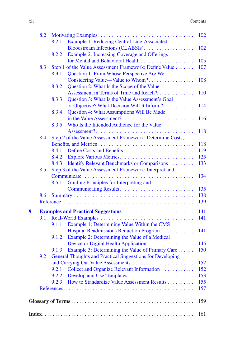|   | 8.2 |       |                                                            | 102        |
|---|-----|-------|------------------------------------------------------------|------------|
|   |     | 8.2.1 | <b>Example 1: Reducing Central Line-Associated</b>         |            |
|   |     |       |                                                            | 102        |
|   |     | 8.2.2 | Example 2: Increasing Coverage and Offerings               |            |
|   |     |       | for Mental and Behavioral Health                           | 105        |
|   | 8.3 |       | Step 1 of the Value Assessment Framework: Define Value     | 107        |
|   |     | 8.3.1 | Question 1: From Whose Perspective Are We                  |            |
|   |     |       | Considering Value—Value to Whom?                           | 108        |
|   |     | 8.3.2 | Question 2: What Is the Scope of the Value                 |            |
|   |     |       | Assessment in Terms of Time and Reach?                     | <b>110</b> |
|   |     | 8.3.3 | Question 3: What Is the Value Assessment's Goal            |            |
|   |     |       | or Objective? What Decision Will It Inform?                | 114        |
|   |     | 8.3.4 | <b>Question 4: What Assumptions Will Be Made</b>           |            |
|   |     |       |                                                            | <b>116</b> |
|   |     | 8.3.5 | Who Is the Intended Audience for the Value                 |            |
|   |     |       |                                                            | 118        |
|   | 8.4 |       | Step 2 of the Value Assessment Framework: Determine Costs, |            |
|   |     |       |                                                            | 118        |
|   |     |       |                                                            | 119        |
|   |     |       |                                                            | 125        |
|   |     |       | 8.4.3 Identify Relevant Benchmarks or Comparisons          | 133        |
|   | 8.5 |       | Step 3 of the Value Assessment Framework: Interpret and    |            |
|   |     |       |                                                            | 134        |
|   |     | 8.5.1 | Guiding Principles for Interpreting and                    |            |
|   |     |       | Communicating Results                                      | 135        |
|   | 8.6 |       |                                                            | 138        |
|   |     |       |                                                            | 139        |
| 9 |     |       |                                                            | 141        |
|   | 9.1 |       |                                                            | 141        |
|   |     | 9.1.1 | Example 1: Determining Value Within the CMS                |            |
|   |     |       | Hospital Readmissions Reduction Program                    | 141        |
|   |     | 9.1.2 | Example 2: Determining the Value of a Medical              |            |
|   |     |       | Device or Digital Health Application                       | 145        |
|   |     | 9.1.3 | Example 3: Determining the Value of Primary Care           | 150        |
|   | 9.2 |       | General Thoughts and Practical Suggestions for Developing  |            |
|   |     |       |                                                            | 152        |
|   |     | 9.2.1 | Collect and Organize Relevant Information                  | 152        |
|   |     | 9.2.2 | Develop and Use Templates                                  | 153        |
|   |     | 9.2.3 | How to Standardize Value Assessment Results                | 155        |
|   |     |       |                                                            | 157        |
|   |     |       |                                                            |            |
|   |     |       |                                                            | 159        |
|   |     |       |                                                            |            |
|   |     |       |                                                            | 161        |
|   |     |       |                                                            |            |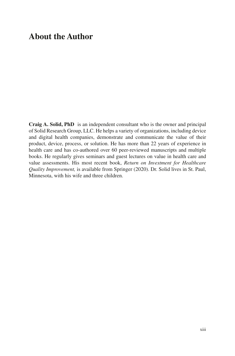### **About the Author**

**Craig A. Solid, PhD** is an independent consultant who is the owner and principal of Solid Research Group, LLC. He helps a variety of organizations, including device and digital health companies, demonstrate and communicate the value of their product, device, process, or solution. He has more than 22 years of experience in health care and has co-authored over 60 peer-reviewed manuscripts and multiple books. He regularly gives seminars and guest lectures on value in health care and value assessments. His most recent book, *Return on Investment for Healthcare Quality Improvement,* is available from Springer (2020). Dr. Solid lives in St. Paul, Minnesota, with his wife and three children.